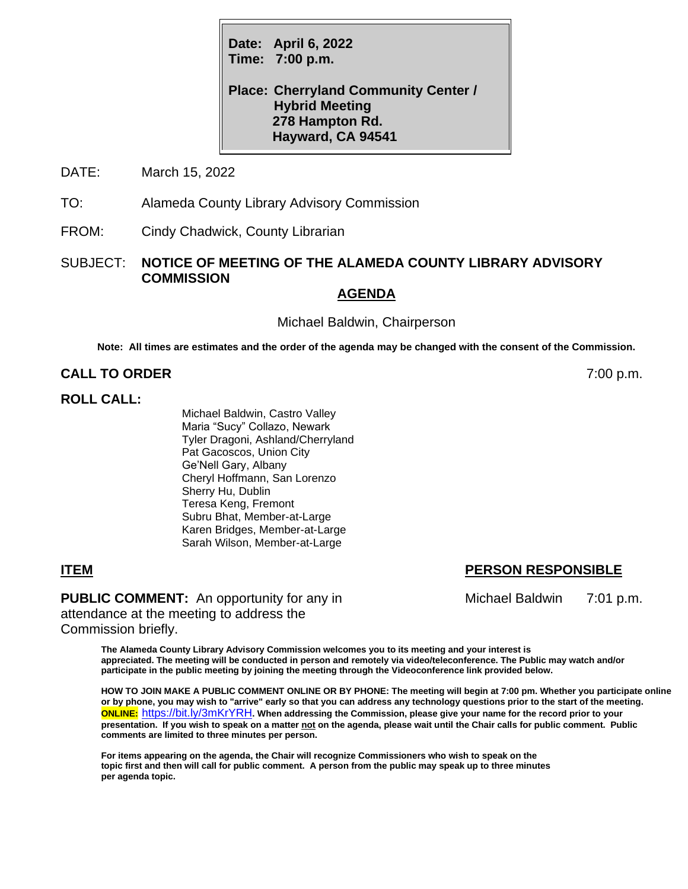**Date: April 6, 2022 Time: 7:00 p.m.**

**Place: Cherryland Community Center / Hybrid Meeting 278 Hampton Rd. Hayward, CA 94541**

DATE: March 15, 2022

TO: Alameda County Library Advisory Commission

FROM: Cindy Chadwick, County Librarian

## SUBJECT: **NOTICE OF MEETING OF THE ALAMEDA COUNTY LIBRARY ADVISORY COMMISSION**

#### **AGENDA**

Michael Baldwin, Chairperson

**Note: All times are estimates and the order of the agenda may be changed with the consent of the Commission.**

# **CALL TO ORDER** 7:00 p.m.

## **ROLL CALL:**

Michael Baldwin, Castro Valley Maria "Sucy" Collazo, Newark Tyler Dragoni, Ashland/Cherryland Pat Gacoscos, Union City Ge'Nell Gary, Albany Cheryl Hoffmann, San Lorenzo Sherry Hu, Dublin Teresa Keng, Fremont Subru Bhat, Member-at-Large Karen Bridges, Member-at-Large Sarah Wilson, Member-at-Large

**PUBLIC COMMENT:** An opportunity for any in Michael Baldwin 7:01 p.m. attendance at the meeting to address the Commission briefly.

**The Alameda County Library Advisory Commission welcomes you to its meeting and your interest is appreciated. The meeting will be conducted in person and remotely via video/teleconference. The Public may watch and/or participate in the public meeting by joining the meeting through the Videoconference link provided below.**

**HOW TO JOIN MAKE A PUBLIC COMMENT ONLINE OR BY PHONE: The meeting will begin at 7:00 pm. Whether you participate online or by phone, you may wish to "arrive" early so that you can address any technology questions prior to the start of the meeting. ONLINE:** <https://bit.ly/3mKrYRH>**. When addressing the Commission, please give your name for the record prior to your presentation. If you wish to speak on a matter not on the agenda, please wait until the Chair calls for public comment. Public comments are limited to three minutes per person.**

**For items appearing on the agenda, the Chair will recognize Commissioners who wish to speak on the topic first and then will call for public comment. A person from the public may speak up to three minutes per agenda topic.**

# **ITEM PERSON RESPONSIBLE**